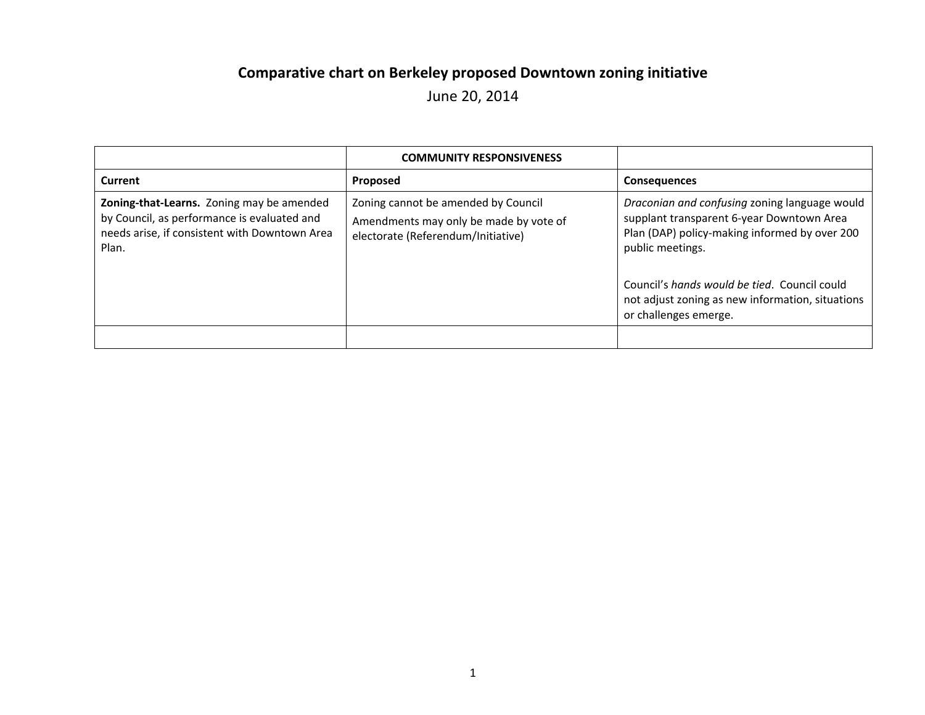## **Comparative chart on Berkeley proposed Downtown zoning initiative**

June 20, 2014

|                                                                                                                                                    | <b>COMMUNITY RESPONSIVENESS</b>                                                                                     |                                                                                                                                                                                                                 |
|----------------------------------------------------------------------------------------------------------------------------------------------------|---------------------------------------------------------------------------------------------------------------------|-----------------------------------------------------------------------------------------------------------------------------------------------------------------------------------------------------------------|
| Current                                                                                                                                            | Proposed                                                                                                            | <b>Consequences</b>                                                                                                                                                                                             |
| Zoning-that-Learns. Zoning may be amended<br>by Council, as performance is evaluated and<br>needs arise, if consistent with Downtown Area<br>Plan. | Zoning cannot be amended by Council<br>Amendments may only be made by vote of<br>electorate (Referendum/Initiative) | Draconian and confusing zoning language would<br>supplant transparent 6-year Downtown Area<br>Plan (DAP) policy-making informed by over 200<br>public meetings.<br>Council's hands would be tied. Council could |
|                                                                                                                                                    |                                                                                                                     | not adjust zoning as new information, situations<br>or challenges emerge.                                                                                                                                       |
|                                                                                                                                                    |                                                                                                                     |                                                                                                                                                                                                                 |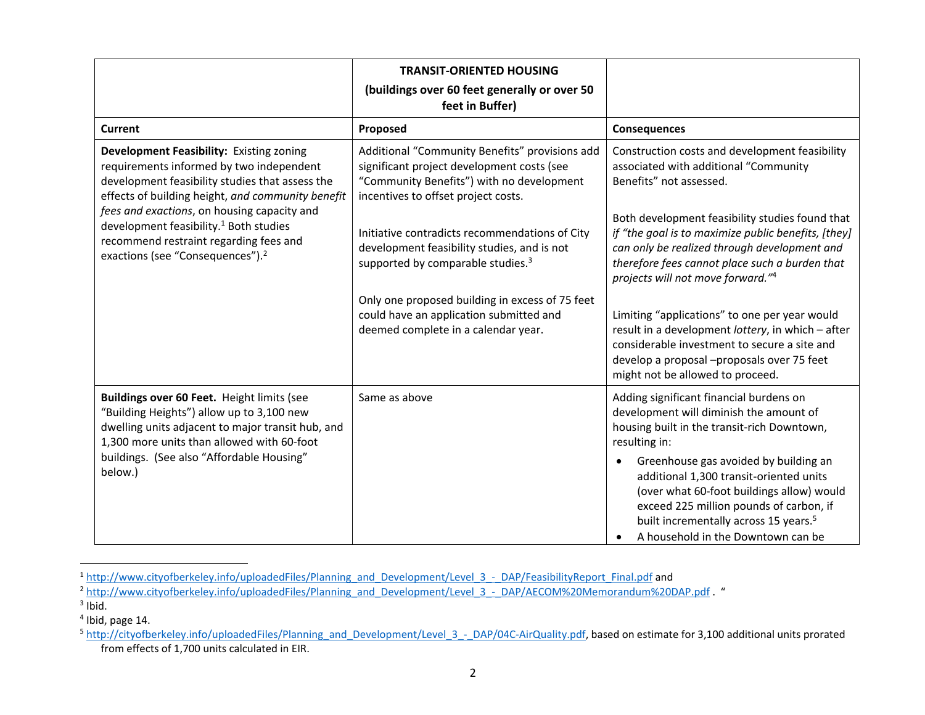|                                                                                                                                                                                                                                                                                                                                                                                             | <b>TRANSIT-ORIENTED HOUSING</b><br>(buildings over 60 feet generally or over 50<br>feet in Buffer)                                                                               |                                                                                                                                                                                                                                                                                                                                                                                                                           |
|---------------------------------------------------------------------------------------------------------------------------------------------------------------------------------------------------------------------------------------------------------------------------------------------------------------------------------------------------------------------------------------------|----------------------------------------------------------------------------------------------------------------------------------------------------------------------------------|---------------------------------------------------------------------------------------------------------------------------------------------------------------------------------------------------------------------------------------------------------------------------------------------------------------------------------------------------------------------------------------------------------------------------|
| <b>Current</b>                                                                                                                                                                                                                                                                                                                                                                              | Proposed                                                                                                                                                                         | <b>Consequences</b>                                                                                                                                                                                                                                                                                                                                                                                                       |
| Development Feasibility: Existing zoning<br>requirements informed by two independent<br>development feasibility studies that assess the<br>effects of building height, and community benefit<br>fees and exactions, on housing capacity and<br>development feasibility. <sup>1</sup> Both studies<br>recommend restraint regarding fees and<br>exactions (see "Consequences"). <sup>2</sup> | Additional "Community Benefits" provisions add<br>significant project development costs (see<br>"Community Benefits") with no development<br>incentives to offset project costs. | Construction costs and development feasibility<br>associated with additional "Community<br>Benefits" not assessed.                                                                                                                                                                                                                                                                                                        |
|                                                                                                                                                                                                                                                                                                                                                                                             | Initiative contradicts recommendations of City<br>development feasibility studies, and is not<br>supported by comparable studies. <sup>3</sup>                                   | Both development feasibility studies found that<br>if "the goal is to maximize public benefits, [they]<br>can only be realized through development and<br>therefore fees cannot place such a burden that<br>projects will not move forward."4                                                                                                                                                                             |
|                                                                                                                                                                                                                                                                                                                                                                                             | Only one proposed building in excess of 75 feet<br>could have an application submitted and<br>deemed complete in a calendar year.                                                | Limiting "applications" to one per year would<br>result in a development lottery, in which - after<br>considerable investment to secure a site and<br>develop a proposal -proposals over 75 feet<br>might not be allowed to proceed.                                                                                                                                                                                      |
| Buildings over 60 Feet. Height limits (see<br>"Building Heights") allow up to 3,100 new<br>dwelling units adjacent to major transit hub, and<br>1,300 more units than allowed with 60-foot<br>buildings. (See also "Affordable Housing"<br>below.)                                                                                                                                          | Same as above                                                                                                                                                                    | Adding significant financial burdens on<br>development will diminish the amount of<br>housing built in the transit-rich Downtown,<br>resulting in:<br>Greenhouse gas avoided by building an<br>additional 1,300 transit-oriented units<br>(over what 60-foot buildings allow) would<br>exceed 225 million pounds of carbon, if<br>built incrementally across 15 years. <sup>5</sup><br>A household in the Downtown can be |

<sup>&</sup>lt;sup>1</sup> http://www.cityofberkeley.info/uploadedFiles/Planning\_and\_Development/Level\_3\_-\_DAP/FeasibilityReport\_Final.pdf and

<sup>2</sup> http://www.cityofberkeley.info/uploadedFiles/Planning\_and\_Development/Level\_3\_-\_DAP/AECOM%20Memorandum%20DAP.pdf . "

 $^3$  Ibid.

<sup>&</sup>lt;sup>4</sup> Ibid, page 14.

<sup>&</sup>lt;sup>5</sup> http://cityofberkeley.info/uploadedFiles/Planning\_and\_Development/Level\_3\_-\_DAP/04C-AirQuality.pdf, based on estimate for 3,100 additional units prorated from effects of 1,700 units calculated in EIR.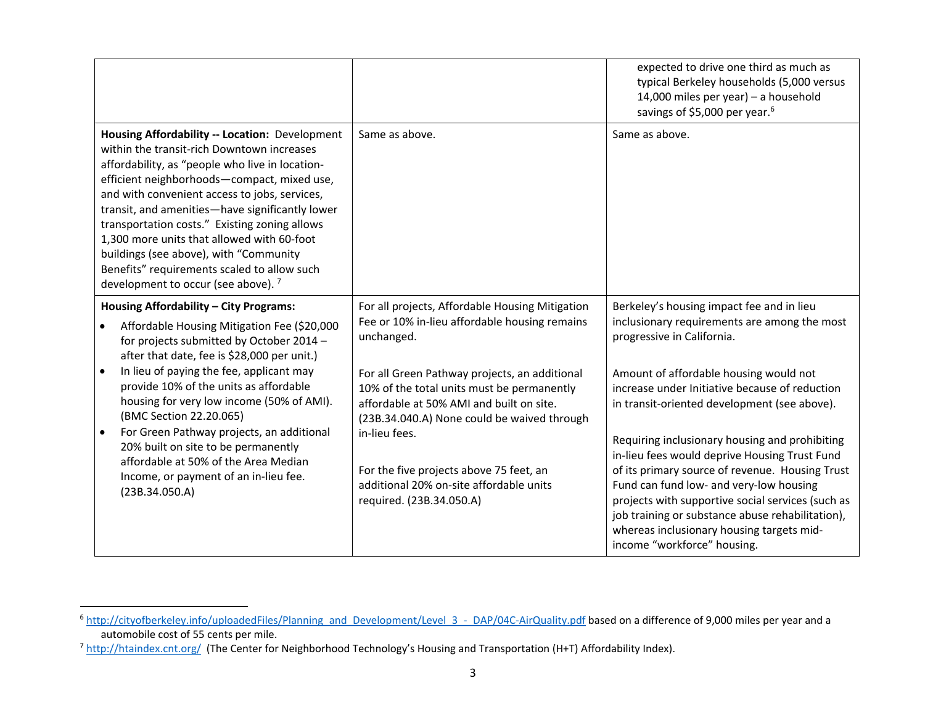|                                                                                                                                                                                                                                                                                                                                                                                                                                                                                                                                              |                                                                                                                                                                                                                                                                                                                                                                                                                                             | expected to drive one third as much as<br>typical Berkeley households (5,000 versus<br>14,000 miles per year) - a household<br>savings of \$5,000 per year. <sup>6</sup>                                                                                                                                                                                                                                                                                                                                                                                                                                                                                  |
|----------------------------------------------------------------------------------------------------------------------------------------------------------------------------------------------------------------------------------------------------------------------------------------------------------------------------------------------------------------------------------------------------------------------------------------------------------------------------------------------------------------------------------------------|---------------------------------------------------------------------------------------------------------------------------------------------------------------------------------------------------------------------------------------------------------------------------------------------------------------------------------------------------------------------------------------------------------------------------------------------|-----------------------------------------------------------------------------------------------------------------------------------------------------------------------------------------------------------------------------------------------------------------------------------------------------------------------------------------------------------------------------------------------------------------------------------------------------------------------------------------------------------------------------------------------------------------------------------------------------------------------------------------------------------|
| Housing Affordability -- Location: Development<br>within the transit-rich Downtown increases<br>affordability, as "people who live in location-<br>efficient neighborhoods-compact, mixed use,<br>and with convenient access to jobs, services,<br>transit, and amenities-have significantly lower<br>transportation costs." Existing zoning allows<br>1,300 more units that allowed with 60-foot<br>buildings (see above), with "Community<br>Benefits" requirements scaled to allow such<br>development to occur (see above). <sup>7</sup> | Same as above.                                                                                                                                                                                                                                                                                                                                                                                                                              | Same as above.                                                                                                                                                                                                                                                                                                                                                                                                                                                                                                                                                                                                                                            |
| Housing Affordability - City Programs:<br>Affordable Housing Mitigation Fee (\$20,000<br>for projects submitted by October 2014 -<br>after that date, fee is \$28,000 per unit.)<br>In lieu of paying the fee, applicant may<br>provide 10% of the units as affordable<br>housing for very low income (50% of AMI).<br>(BMC Section 22.20.065)<br>For Green Pathway projects, an additional<br>20% built on site to be permanently<br>affordable at 50% of the Area Median<br>Income, or payment of an in-lieu fee.<br>(23B.34.050.A)        | For all projects, Affordable Housing Mitigation<br>Fee or 10% in-lieu affordable housing remains<br>unchanged.<br>For all Green Pathway projects, an additional<br>10% of the total units must be permanently<br>affordable at 50% AMI and built on site.<br>(23B.34.040.A) None could be waived through<br>in-lieu fees.<br>For the five projects above 75 feet, an<br>additional 20% on-site affordable units<br>required. (23B.34.050.A) | Berkeley's housing impact fee and in lieu<br>inclusionary requirements are among the most<br>progressive in California.<br>Amount of affordable housing would not<br>increase under Initiative because of reduction<br>in transit-oriented development (see above).<br>Requiring inclusionary housing and prohibiting<br>in-lieu fees would deprive Housing Trust Fund<br>of its primary source of revenue. Housing Trust<br>Fund can fund low- and very-low housing<br>projects with supportive social services (such as<br>job training or substance abuse rehabilitation),<br>whereas inclusionary housing targets mid-<br>income "workforce" housing. |

<sup>&</sup>lt;sup>6</sup> http://cityofberkeley.info/uploadedFiles/Planning and Development/Level 3 - DAP/04C-AirQuality.pdf based on a difference of 9,000 miles per year and a automobile cost of 55 cents per mile.

<sup>&</sup>lt;sup>7</sup> http://htaindex.cnt.org/ (The Center for Neighborhood Technology's Housing and Transportation (H+T) Affordability Index).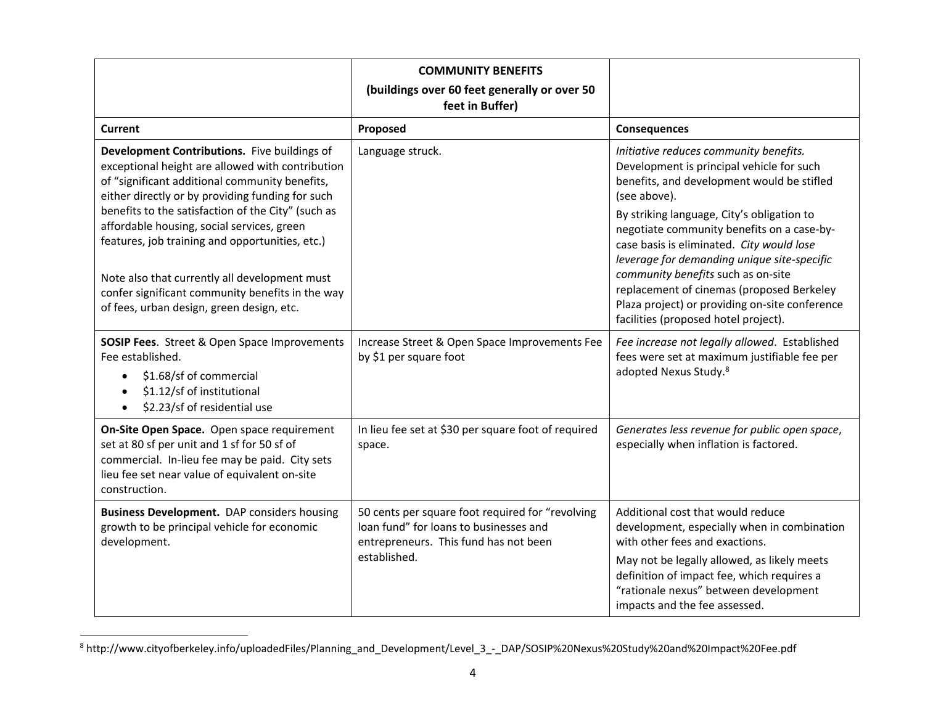|                                                                                                                                                                                                                                                                                                                                                               | <b>COMMUNITY BENEFITS</b><br>(buildings over 60 feet generally or over 50<br>feet in Buffer)                                                        |                                                                                                                                                                                                                                                                                                                                           |
|---------------------------------------------------------------------------------------------------------------------------------------------------------------------------------------------------------------------------------------------------------------------------------------------------------------------------------------------------------------|-----------------------------------------------------------------------------------------------------------------------------------------------------|-------------------------------------------------------------------------------------------------------------------------------------------------------------------------------------------------------------------------------------------------------------------------------------------------------------------------------------------|
| Current                                                                                                                                                                                                                                                                                                                                                       | Proposed                                                                                                                                            | <b>Consequences</b>                                                                                                                                                                                                                                                                                                                       |
| Development Contributions. Five buildings of<br>exceptional height are allowed with contribution<br>of "significant additional community benefits,<br>either directly or by providing funding for such<br>benefits to the satisfaction of the City" (such as<br>affordable housing, social services, green<br>features, job training and opportunities, etc.) | Language struck.                                                                                                                                    | Initiative reduces community benefits.<br>Development is principal vehicle for such<br>benefits, and development would be stifled<br>(see above).<br>By striking language, City's obligation to<br>negotiate community benefits on a case-by-<br>case basis is eliminated. City would lose<br>leverage for demanding unique site-specific |
| Note also that currently all development must<br>confer significant community benefits in the way<br>of fees, urban design, green design, etc.                                                                                                                                                                                                                |                                                                                                                                                     | community benefits such as on-site<br>replacement of cinemas (proposed Berkeley<br>Plaza project) or providing on-site conference<br>facilities (proposed hotel project).                                                                                                                                                                 |
| <b>SOSIP Fees.</b> Street & Open Space Improvements<br>Fee established.<br>\$1.68/sf of commercial<br>$\bullet$<br>\$1.12/sf of institutional<br>$\bullet$<br>\$2.23/sf of residential use<br>$\bullet$                                                                                                                                                       | Increase Street & Open Space Improvements Fee<br>by \$1 per square foot                                                                             | Fee increase not legally allowed. Established<br>fees were set at maximum justifiable fee per<br>adopted Nexus Study. <sup>8</sup>                                                                                                                                                                                                        |
| On-Site Open Space. Open space requirement<br>set at 80 sf per unit and 1 sf for 50 sf of<br>commercial. In-lieu fee may be paid. City sets<br>lieu fee set near value of equivalent on-site<br>construction.                                                                                                                                                 | In lieu fee set at \$30 per square foot of required<br>space.                                                                                       | Generates less revenue for public open space,<br>especially when inflation is factored.                                                                                                                                                                                                                                                   |
| <b>Business Development.</b> DAP considers housing<br>growth to be principal vehicle for economic<br>development.                                                                                                                                                                                                                                             | 50 cents per square foot required for "revolving<br>loan fund" for loans to businesses and<br>entrepreneurs. This fund has not been<br>established. | Additional cost that would reduce<br>development, especially when in combination<br>with other fees and exactions.<br>May not be legally allowed, as likely meets<br>definition of impact fee, which requires a                                                                                                                           |
|                                                                                                                                                                                                                                                                                                                                                               |                                                                                                                                                     | "rationale nexus" between development<br>impacts and the fee assessed.                                                                                                                                                                                                                                                                    |

<sup>8</sup> http://www.cityofberkeley.info/uploadedFiles/Planning\_and\_Development/Level\_3\_‐\_DAP/SOSIP%20Nexus%20Study%20and%20Impact%20Fee.pdf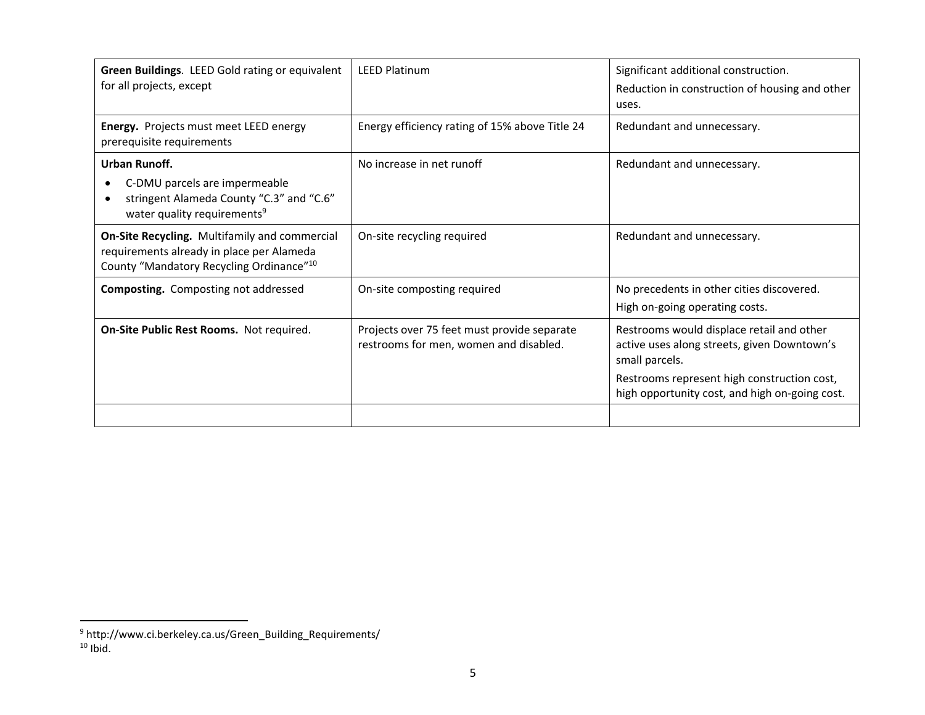| Green Buildings. LEED Gold rating or equivalent<br>for all projects, except                                                            | <b>LEED Platinum</b>                                                                  | Significant additional construction.<br>Reduction in construction of housing and other<br>uses.                                                                                                             |
|----------------------------------------------------------------------------------------------------------------------------------------|---------------------------------------------------------------------------------------|-------------------------------------------------------------------------------------------------------------------------------------------------------------------------------------------------------------|
| Energy. Projects must meet LEED energy<br>prerequisite requirements                                                                    | Energy efficiency rating of 15% above Title 24                                        | Redundant and unnecessary.                                                                                                                                                                                  |
| Urban Runoff.<br>C-DMU parcels are impermeable<br>stringent Alameda County "C.3" and "C.6"<br>water quality requirements <sup>9</sup>  | No increase in net runoff                                                             | Redundant and unnecessary.                                                                                                                                                                                  |
| On-Site Recycling. Multifamily and commercial<br>requirements already in place per Alameda<br>County "Mandatory Recycling Ordinance"10 | On-site recycling required                                                            | Redundant and unnecessary.                                                                                                                                                                                  |
| <b>Composting.</b> Composting not addressed                                                                                            | On-site composting required                                                           | No precedents in other cities discovered.<br>High on-going operating costs.                                                                                                                                 |
| On-Site Public Rest Rooms. Not required.                                                                                               | Projects over 75 feet must provide separate<br>restrooms for men, women and disabled. | Restrooms would displace retail and other<br>active uses along streets, given Downtown's<br>small parcels.<br>Restrooms represent high construction cost,<br>high opportunity cost, and high on-going cost. |
|                                                                                                                                        |                                                                                       |                                                                                                                                                                                                             |

<sup>&</sup>lt;sup>9</sup> http://www.ci.berkeley.ca.us/Green\_Building\_Requirements/<br><sup>10</sup> Ibid.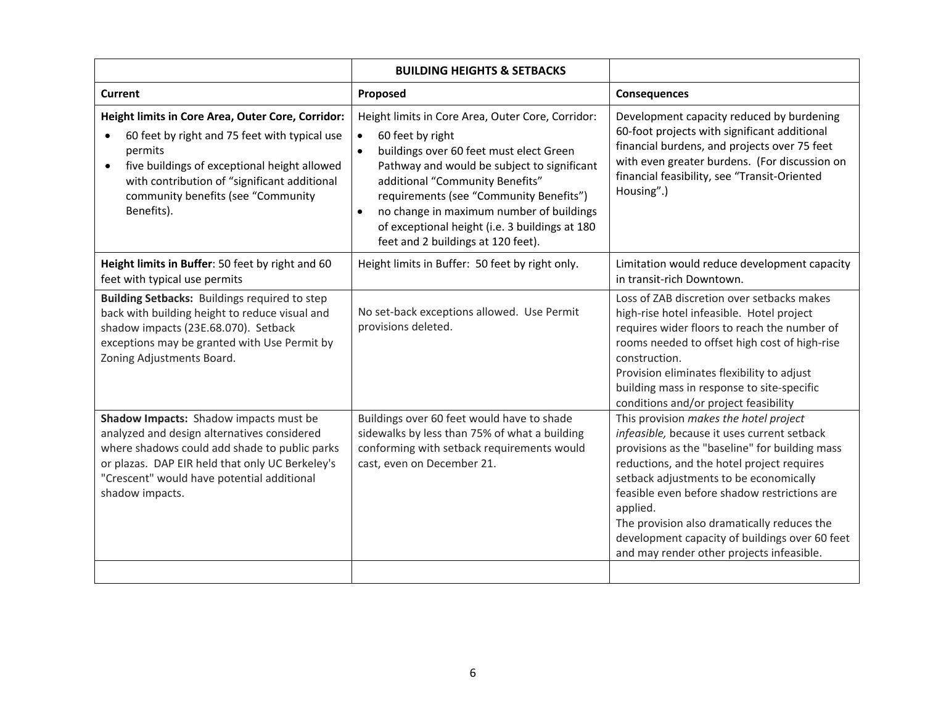|                                                                                                                                                                                                                                                                                             | <b>BUILDING HEIGHTS &amp; SETBACKS</b>                                                                                                                                                                                                                                                                                                                                                                      |                                                                                                                                                                                                                                                                                                                                                                                                                                           |
|---------------------------------------------------------------------------------------------------------------------------------------------------------------------------------------------------------------------------------------------------------------------------------------------|-------------------------------------------------------------------------------------------------------------------------------------------------------------------------------------------------------------------------------------------------------------------------------------------------------------------------------------------------------------------------------------------------------------|-------------------------------------------------------------------------------------------------------------------------------------------------------------------------------------------------------------------------------------------------------------------------------------------------------------------------------------------------------------------------------------------------------------------------------------------|
| <b>Current</b>                                                                                                                                                                                                                                                                              | Proposed                                                                                                                                                                                                                                                                                                                                                                                                    | <b>Consequences</b>                                                                                                                                                                                                                                                                                                                                                                                                                       |
| Height limits in Core Area, Outer Core, Corridor:<br>60 feet by right and 75 feet with typical use<br>$\bullet$<br>permits<br>five buildings of exceptional height allowed<br>$\bullet$<br>with contribution of "significant additional<br>community benefits (see "Community<br>Benefits). | Height limits in Core Area, Outer Core, Corridor:<br>60 feet by right<br>$\bullet$<br>buildings over 60 feet must elect Green<br>$\bullet$<br>Pathway and would be subject to significant<br>additional "Community Benefits"<br>requirements (see "Community Benefits")<br>no change in maximum number of buildings<br>of exceptional height (i.e. 3 buildings at 180<br>feet and 2 buildings at 120 feet). | Development capacity reduced by burdening<br>60-foot projects with significant additional<br>financial burdens, and projects over 75 feet<br>with even greater burdens. (For discussion on<br>financial feasibility, see "Transit-Oriented<br>Housing".)                                                                                                                                                                                  |
| Height limits in Buffer: 50 feet by right and 60<br>feet with typical use permits                                                                                                                                                                                                           | Height limits in Buffer: 50 feet by right only.                                                                                                                                                                                                                                                                                                                                                             | Limitation would reduce development capacity<br>in transit-rich Downtown.                                                                                                                                                                                                                                                                                                                                                                 |
| Building Setbacks: Buildings required to step<br>back with building height to reduce visual and<br>shadow impacts (23E.68.070). Setback<br>exceptions may be granted with Use Permit by<br>Zoning Adjustments Board.                                                                        | No set-back exceptions allowed. Use Permit<br>provisions deleted.                                                                                                                                                                                                                                                                                                                                           | Loss of ZAB discretion over setbacks makes<br>high-rise hotel infeasible. Hotel project<br>requires wider floors to reach the number of<br>rooms needed to offset high cost of high-rise<br>construction.<br>Provision eliminates flexibility to adjust<br>building mass in response to site-specific<br>conditions and/or project feasibility                                                                                            |
| Shadow Impacts: Shadow impacts must be<br>analyzed and design alternatives considered<br>where shadows could add shade to public parks<br>or plazas. DAP EIR held that only UC Berkeley's<br>"Crescent" would have potential additional<br>shadow impacts.                                  | Buildings over 60 feet would have to shade<br>sidewalks by less than 75% of what a building<br>conforming with setback requirements would<br>cast, even on December 21.                                                                                                                                                                                                                                     | This provision makes the hotel project<br>infeasible, because it uses current setback<br>provisions as the "baseline" for building mass<br>reductions, and the hotel project requires<br>setback adjustments to be economically<br>feasible even before shadow restrictions are<br>applied.<br>The provision also dramatically reduces the<br>development capacity of buildings over 60 feet<br>and may render other projects infeasible. |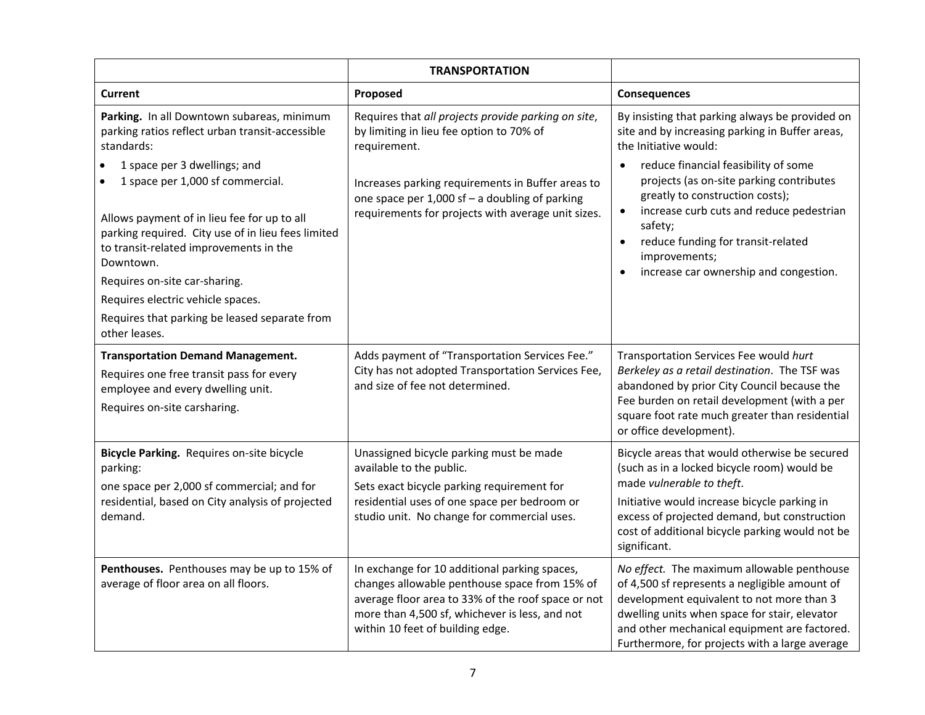|                                                                                                                                                                                                                                                                                                                                                                                                                                                                                     | <b>TRANSPORTATION</b>                                                                                                                                                                                                                                                        |                                                                                                                                                                                                                                                                                                                                                                                                                                                   |
|-------------------------------------------------------------------------------------------------------------------------------------------------------------------------------------------------------------------------------------------------------------------------------------------------------------------------------------------------------------------------------------------------------------------------------------------------------------------------------------|------------------------------------------------------------------------------------------------------------------------------------------------------------------------------------------------------------------------------------------------------------------------------|---------------------------------------------------------------------------------------------------------------------------------------------------------------------------------------------------------------------------------------------------------------------------------------------------------------------------------------------------------------------------------------------------------------------------------------------------|
| <b>Current</b>                                                                                                                                                                                                                                                                                                                                                                                                                                                                      | Proposed                                                                                                                                                                                                                                                                     | Consequences                                                                                                                                                                                                                                                                                                                                                                                                                                      |
| Parking. In all Downtown subareas, minimum<br>parking ratios reflect urban transit-accessible<br>standards:<br>1 space per 3 dwellings; and<br>1 space per 1,000 sf commercial.<br>Allows payment of in lieu fee for up to all<br>parking required. City use of in lieu fees limited<br>to transit-related improvements in the<br>Downtown.<br>Requires on-site car-sharing.<br>Requires electric vehicle spaces.<br>Requires that parking be leased separate from<br>other leases. | Requires that all projects provide parking on site,<br>by limiting in lieu fee option to 70% of<br>requirement.<br>Increases parking requirements in Buffer areas to<br>one space per 1,000 sf - a doubling of parking<br>requirements for projects with average unit sizes. | By insisting that parking always be provided on<br>site and by increasing parking in Buffer areas,<br>the Initiative would:<br>reduce financial feasibility of some<br>$\bullet$<br>projects (as on-site parking contributes<br>greatly to construction costs);<br>increase curb cuts and reduce pedestrian<br>$\bullet$<br>safety;<br>reduce funding for transit-related<br>$\bullet$<br>improvements;<br>increase car ownership and congestion. |
| <b>Transportation Demand Management.</b><br>Requires one free transit pass for every<br>employee and every dwelling unit.<br>Requires on-site carsharing.                                                                                                                                                                                                                                                                                                                           | Adds payment of "Transportation Services Fee."<br>City has not adopted Transportation Services Fee,<br>and size of fee not determined.                                                                                                                                       | Transportation Services Fee would hurt<br>Berkeley as a retail destination. The TSF was<br>abandoned by prior City Council because the<br>Fee burden on retail development (with a per<br>square foot rate much greater than residential<br>or office development).                                                                                                                                                                               |
| Bicycle Parking. Requires on-site bicycle<br>parking:<br>one space per 2,000 sf commercial; and for<br>residential, based on City analysis of projected<br>demand.                                                                                                                                                                                                                                                                                                                  | Unassigned bicycle parking must be made<br>available to the public.<br>Sets exact bicycle parking requirement for<br>residential uses of one space per bedroom or<br>studio unit. No change for commercial uses.                                                             | Bicycle areas that would otherwise be secured<br>(such as in a locked bicycle room) would be<br>made vulnerable to theft.<br>Initiative would increase bicycle parking in<br>excess of projected demand, but construction<br>cost of additional bicycle parking would not be<br>significant.                                                                                                                                                      |
| Penthouses. Penthouses may be up to 15% of<br>average of floor area on all floors.                                                                                                                                                                                                                                                                                                                                                                                                  | In exchange for 10 additional parking spaces,<br>changes allowable penthouse space from 15% of<br>average floor area to 33% of the roof space or not<br>more than 4,500 sf, whichever is less, and not<br>within 10 feet of building edge.                                   | No effect. The maximum allowable penthouse<br>of 4,500 sf represents a negligible amount of<br>development equivalent to not more than 3<br>dwelling units when space for stair, elevator<br>and other mechanical equipment are factored.<br>Furthermore, for projects with a large average                                                                                                                                                       |